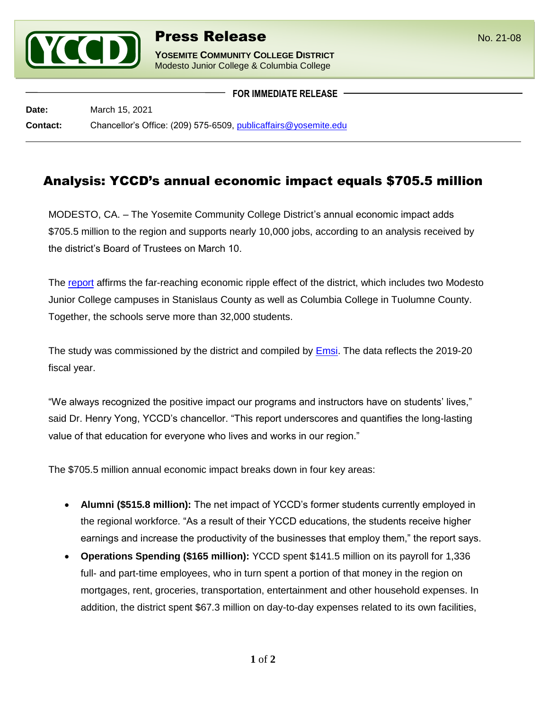

l

**YOSEMITE COMMUNITY COLLEGE DISTRICT** Modesto Junior College & Columbia College

**FOR IMMEDIATE RELEASE**

**Date:** March 15, 2021 **Contact:** Chancellor's Office: (209) 575-6509, [publicaffairs@yosemite.edu](mailto:publicaffairs@yosemite.edu)

## Analysis: YCCD's annual economic impact equals \$705.5 million

MODESTO, CA. – The Yosemite Community College District's annual economic impact adds \$705.5 million to the region and supports nearly 10,000 jobs, according to an analysis received by the district's Board of Trustees on March 10.

The [report](https://www.yosemite.edu/chancellor/yccdeconomicplan) affirms the far-reaching economic ripple effect of the district, which includes two Modesto Junior College campuses in Stanislaus County as well as Columbia College in Tuolumne County. Together, the schools serve more than 32,000 students.

The study was commissioned by the district and compiled by [Emsi.](https://www.economicmodeling.com/) The data reflects the 2019-20 fiscal year.

"We always recognized the positive impact our programs and instructors have on students' lives," said Dr. Henry Yong, YCCD's chancellor. "This report underscores and quantifies the long-lasting value of that education for everyone who lives and works in our region."

The \$705.5 million annual economic impact breaks down in four key areas:

- **Alumni (\$515.8 million):** The net impact of YCCD's former students currently employed in the regional workforce. "As a result of their YCCD educations, the students receive higher earnings and increase the productivity of the businesses that employ them," the report says.
- **Operations Spending (\$165 million):** YCCD spent \$141.5 million on its payroll for 1,336 full- and part-time employees, who in turn spent a portion of that money in the region on mortgages, rent, groceries, transportation, entertainment and other household expenses. In addition, the district spent \$67.3 million on day-to-day expenses related to its own facilities,